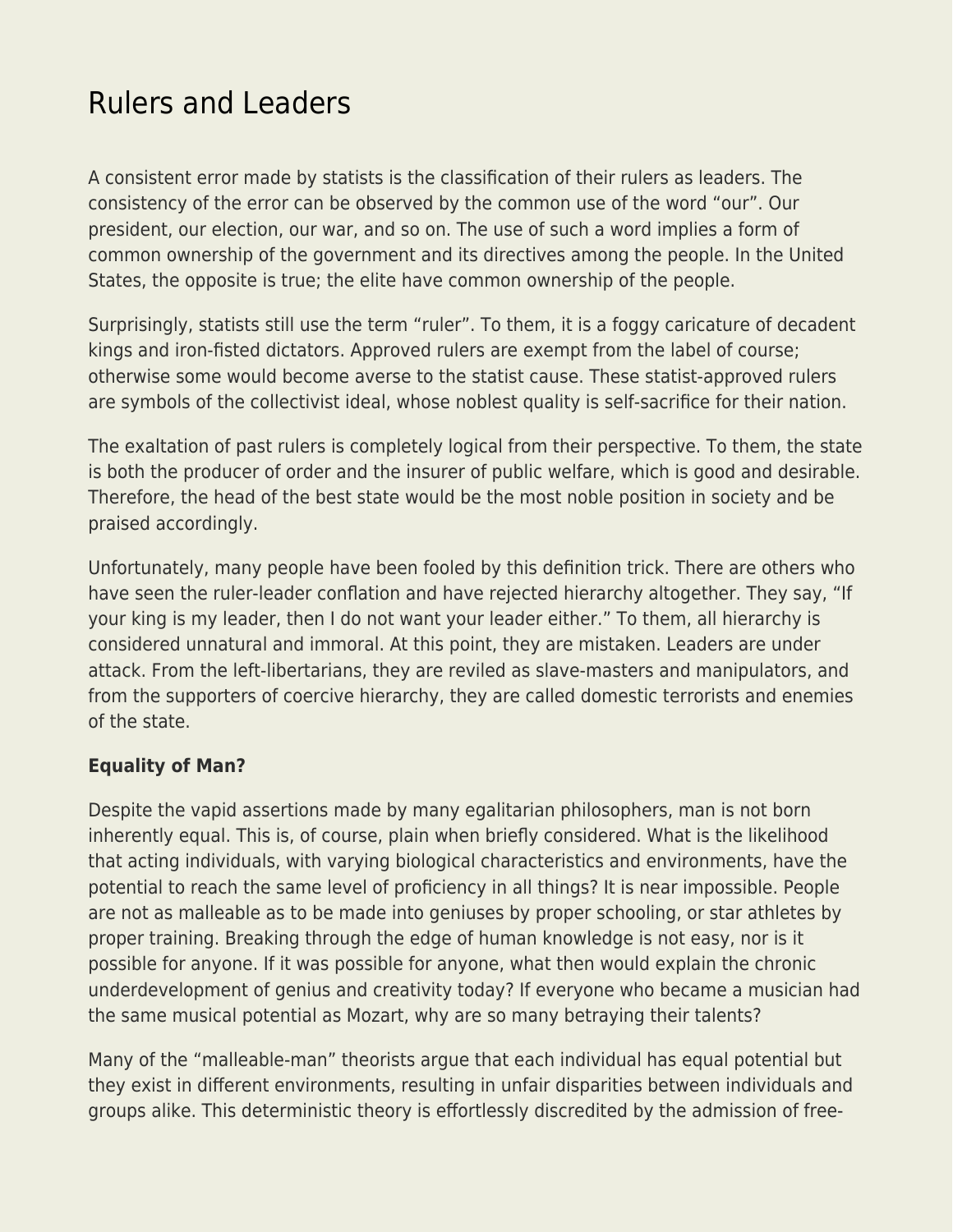# [Rulers and Leaders](https://everything-voluntary.com/rulers-and-leaders)

A consistent error made by statists is the classification of their rulers as leaders. The consistency of the error can be observed by the common use of the word "our". Our president, our election, our war, and so on. The use of such a word implies a form of common ownership of the government and its directives among the people. In the United States, the opposite is true; the elite have common ownership of the people.

Surprisingly, statists still use the term "ruler". To them, it is a foggy caricature of decadent kings and iron-fisted dictators. Approved rulers are exempt from the label of course; otherwise some would become averse to the statist cause. These statist-approved rulers are symbols of the collectivist ideal, whose noblest quality is self-sacrifice for their nation.

The exaltation of past rulers is completely logical from their perspective. To them, the state is both the producer of order and the insurer of public welfare, which is good and desirable. Therefore, the head of the best state would be the most noble position in society and be praised accordingly.

Unfortunately, many people have been fooled by this definition trick. There are others who have seen the ruler-leader conflation and have rejected hierarchy altogether. They say, "If your king is my leader, then I do not want your leader either." To them, all hierarchy is considered unnatural and immoral. At this point, they are mistaken. Leaders are under attack. From the left-libertarians, they are reviled as slave-masters and manipulators, and from the supporters of coercive hierarchy, they are called domestic terrorists and enemies of the state.

## **Equality of Man?**

Despite the vapid assertions made by many egalitarian philosophers, man is not born inherently equal. This is, of course, plain when briefly considered. What is the likelihood that acting individuals, with varying biological characteristics and environments, have the potential to reach the same level of proficiency in all things? It is near impossible. People are not as malleable as to be made into geniuses by proper schooling, or star athletes by proper training. Breaking through the edge of human knowledge is not easy, nor is it possible for anyone. If it was possible for anyone, what then would explain the chronic underdevelopment of genius and creativity today? If everyone who became a musician had the same musical potential as Mozart, why are so many betraying their talents?

Many of the "malleable-man" theorists argue that each individual has equal potential but they exist in different environments, resulting in unfair disparities between individuals and groups alike. This deterministic theory is effortlessly discredited by the admission of free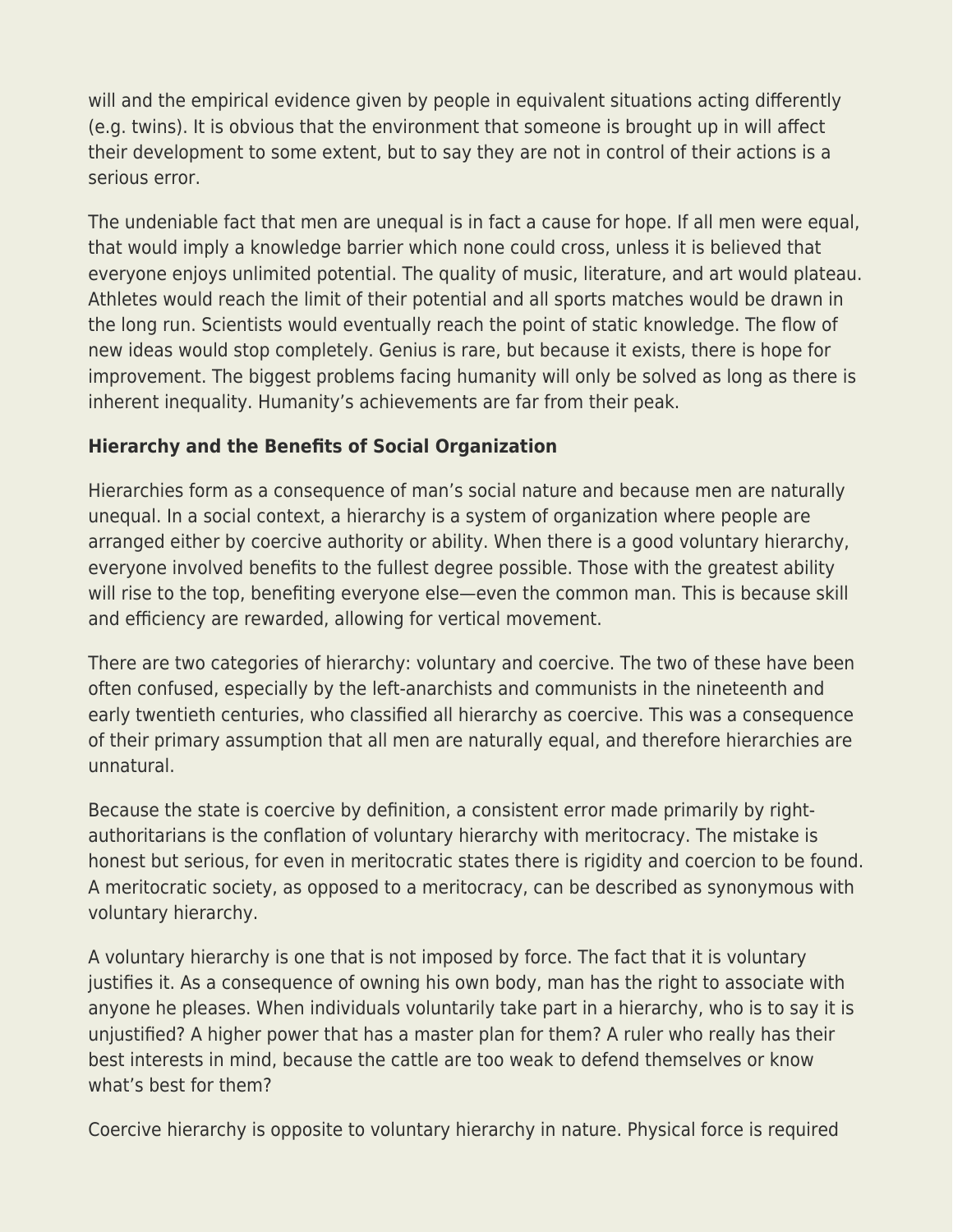will and the empirical evidence given by people in equivalent situations acting differently (e.g. twins). It is obvious that the environment that someone is brought up in will affect their development to some extent, but to say they are not in control of their actions is a serious error.

The undeniable fact that men are unequal is in fact a cause for hope. If all men were equal, that would imply a knowledge barrier which none could cross, unless it is believed that everyone enjoys unlimited potential. The quality of music, literature, and art would plateau. Athletes would reach the limit of their potential and all sports matches would be drawn in the long run. Scientists would eventually reach the point of static knowledge. The flow of new ideas would stop completely. Genius is rare, but because it exists, there is hope for improvement. The biggest problems facing humanity will only be solved as long as there is inherent inequality. Humanity's achievements are far from their peak.

## **Hierarchy and the Benefits of Social Organization**

Hierarchies form as a consequence of man's social nature and because men are naturally unequal. In a social context, a hierarchy is a system of organization where people are arranged either by coercive authority or ability. When there is a good voluntary hierarchy, everyone involved benefits to the fullest degree possible. Those with the greatest ability will rise to the top, benefiting everyone else—even the common man. This is because skill and efficiency are rewarded, allowing for vertical movement.

There are two categories of hierarchy: voluntary and coercive. The two of these have been often confused, especially by the left-anarchists and communists in the nineteenth and early twentieth centuries, who classified all hierarchy as coercive. This was a consequence of their primary assumption that all men are naturally equal, and therefore hierarchies are unnatural.

Because the state is coercive by definition, a consistent error made primarily by rightauthoritarians is the conflation of voluntary hierarchy with meritocracy. The mistake is honest but serious, for even in meritocratic states there is rigidity and coercion to be found. A meritocratic society, as opposed to a meritocracy, can be described as synonymous with voluntary hierarchy.

A voluntary hierarchy is one that is not imposed by force. The fact that it is voluntary justifies it. As a consequence of owning his own body, man has the right to associate with anyone he pleases. When individuals voluntarily take part in a hierarchy, who is to say it is unjustified? A higher power that has a master plan for them? A ruler who really has their best interests in mind, because the cattle are too weak to defend themselves or know what's best for them?

Coercive hierarchy is opposite to voluntary hierarchy in nature. Physical force is required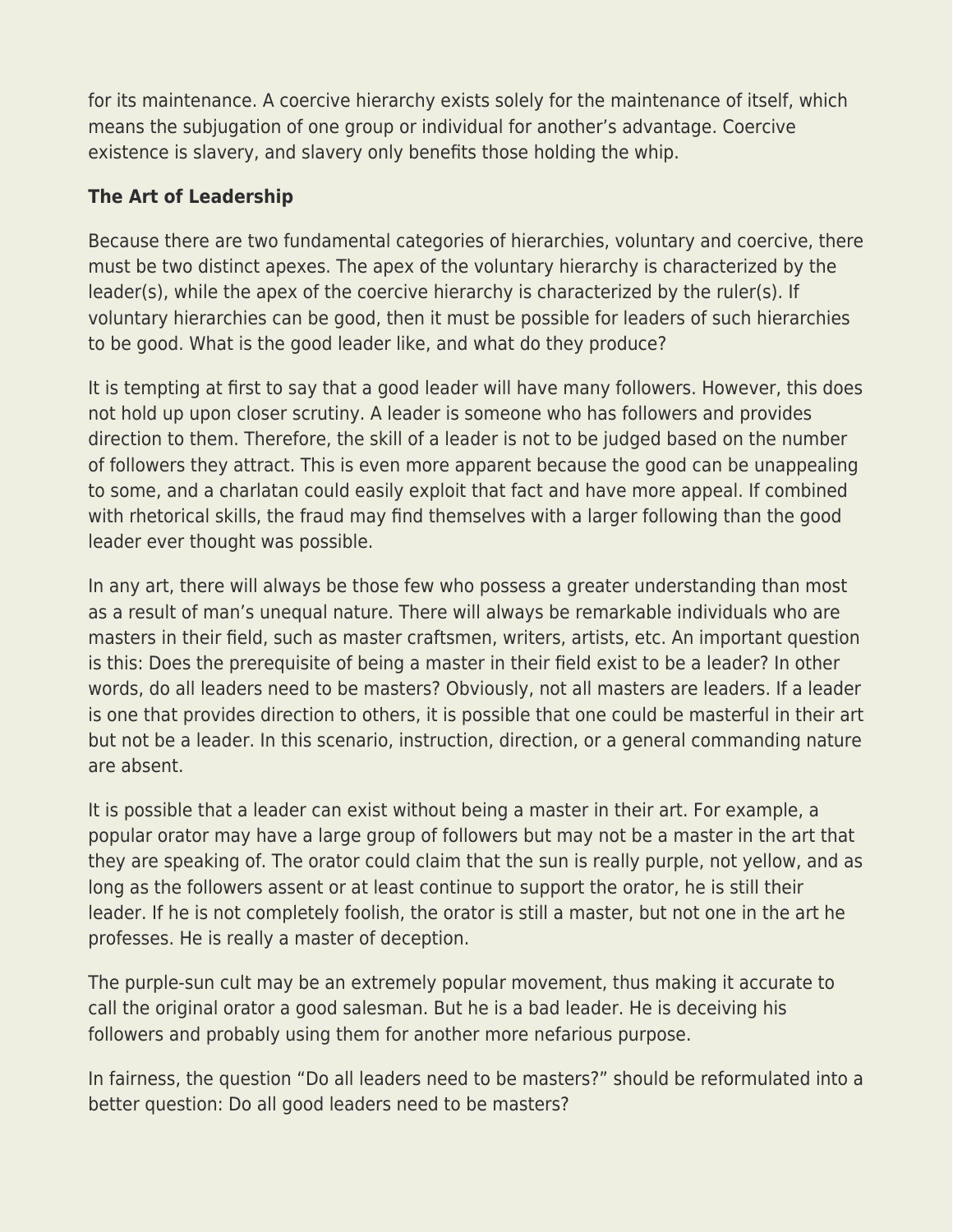for its maintenance. A coercive hierarchy exists solely for the maintenance of itself, which means the subjugation of one group or individual for another's advantage. Coercive existence is slavery, and slavery only benefits those holding the whip.

# **The Art of Leadership**

Because there are two fundamental categories of hierarchies, voluntary and coercive, there must be two distinct apexes. The apex of the voluntary hierarchy is characterized by the leader(s), while the apex of the coercive hierarchy is characterized by the ruler(s). If voluntary hierarchies can be good, then it must be possible for leaders of such hierarchies to be good. What is the good leader like, and what do they produce?

It is tempting at first to say that a good leader will have many followers. However, this does not hold up upon closer scrutiny. A leader is someone who has followers and provides direction to them. Therefore, the skill of a leader is not to be judged based on the number of followers they attract. This is even more apparent because the good can be unappealing to some, and a charlatan could easily exploit that fact and have more appeal. If combined with rhetorical skills, the fraud may find themselves with a larger following than the good leader ever thought was possible.

In any art, there will always be those few who possess a greater understanding than most as a result of man's unequal nature. There will always be remarkable individuals who are masters in their field, such as master craftsmen, writers, artists, etc. An important question is this: Does the prerequisite of being a master in their field exist to be a leader? In other words, do all leaders need to be masters? Obviously, not all masters are leaders. If a leader is one that provides direction to others, it is possible that one could be masterful in their art but not be a leader. In this scenario, instruction, direction, or a general commanding nature are absent.

It is possible that a leader can exist without being a master in their art. For example, a popular orator may have a large group of followers but may not be a master in the art that they are speaking of. The orator could claim that the sun is really purple, not yellow, and as long as the followers assent or at least continue to support the orator, he is still their leader. If he is not completely foolish, the orator is still a master, but not one in the art he professes. He is really a master of deception.

The purple-sun cult may be an extremely popular movement, thus making it accurate to call the original orator a good salesman. But he is a bad leader. He is deceiving his followers and probably using them for another more nefarious purpose.

In fairness, the question "Do all leaders need to be masters?" should be reformulated into a better question: Do all good leaders need to be masters?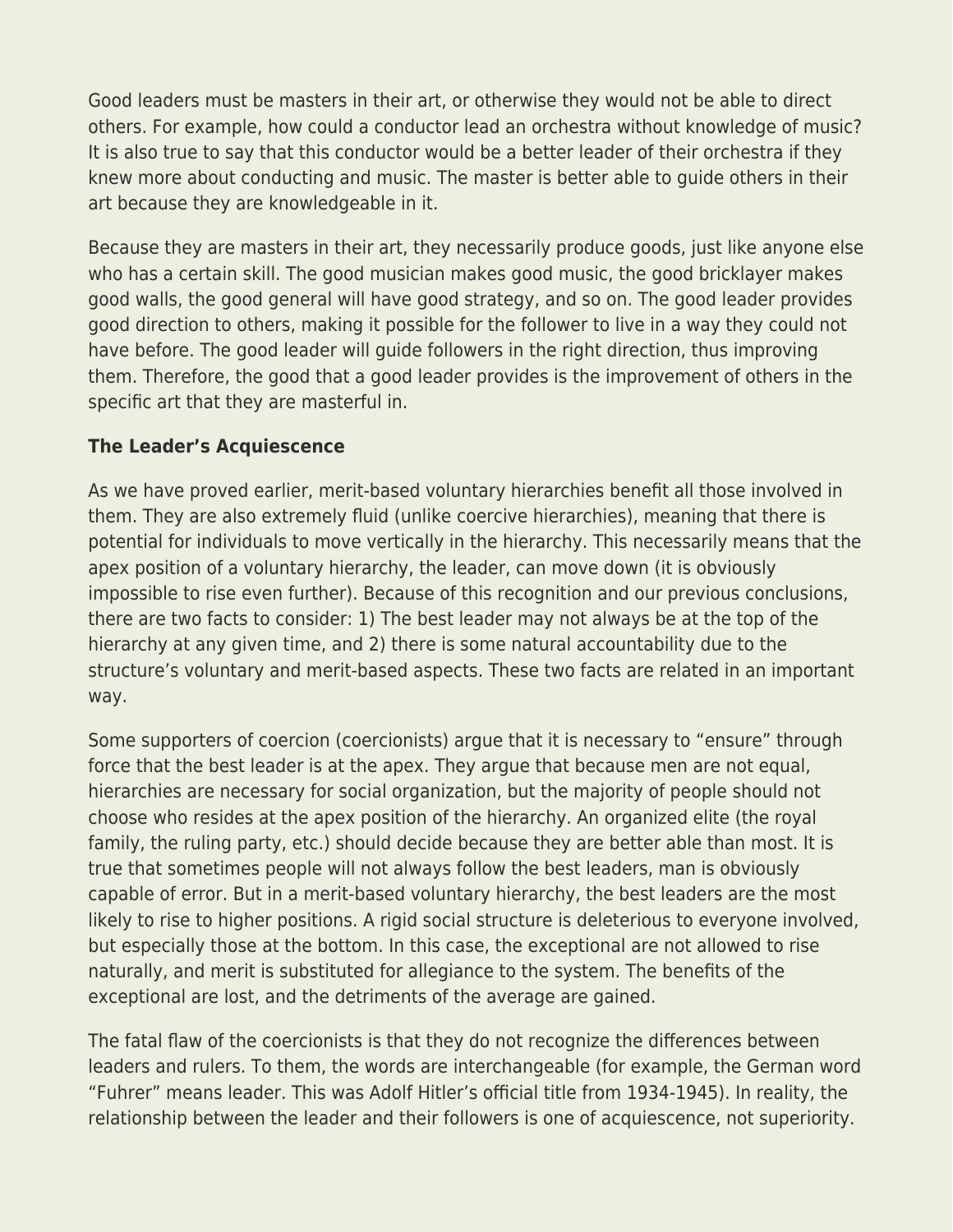Good leaders must be masters in their art, or otherwise they would not be able to direct others. For example, how could a conductor lead an orchestra without knowledge of music? It is also true to say that this conductor would be a better leader of their orchestra if they knew more about conducting and music. The master is better able to guide others in their art because they are knowledgeable in it.

Because they are masters in their art, they necessarily produce goods, just like anyone else who has a certain skill. The good musician makes good music, the good bricklayer makes good walls, the good general will have good strategy, and so on. The good leader provides good direction to others, making it possible for the follower to live in a way they could not have before. The good leader will guide followers in the right direction, thus improving them. Therefore, the good that a good leader provides is the improvement of others in the specific art that they are masterful in.

## **The Leader's Acquiescence**

As we have proved earlier, merit-based voluntary hierarchies benefit all those involved in them. They are also extremely fluid (unlike coercive hierarchies), meaning that there is potential for individuals to move vertically in the hierarchy. This necessarily means that the apex position of a voluntary hierarchy, the leader, can move down (it is obviously impossible to rise even further). Because of this recognition and our previous conclusions, there are two facts to consider: 1) The best leader may not always be at the top of the hierarchy at any given time, and 2) there is some natural accountability due to the structure's voluntary and merit-based aspects. These two facts are related in an important way.

Some supporters of coercion (coercionists) argue that it is necessary to "ensure" through force that the best leader is at the apex. They argue that because men are not equal, hierarchies are necessary for social organization, but the majority of people should not choose who resides at the apex position of the hierarchy. An organized elite (the royal family, the ruling party, etc.) should decide because they are better able than most. It is true that sometimes people will not always follow the best leaders, man is obviously capable of error. But in a merit-based voluntary hierarchy, the best leaders are the most likely to rise to higher positions. A rigid social structure is deleterious to everyone involved, but especially those at the bottom. In this case, the exceptional are not allowed to rise naturally, and merit is substituted for allegiance to the system. The benefits of the exceptional are lost, and the detriments of the average are gained.

The fatal flaw of the coercionists is that they do not recognize the differences between leaders and rulers. To them, the words are interchangeable (for example, the German word "Fuhrer" means leader. This was Adolf Hitler's official title from 1934-1945). In reality, the relationship between the leader and their followers is one of acquiescence, not superiority.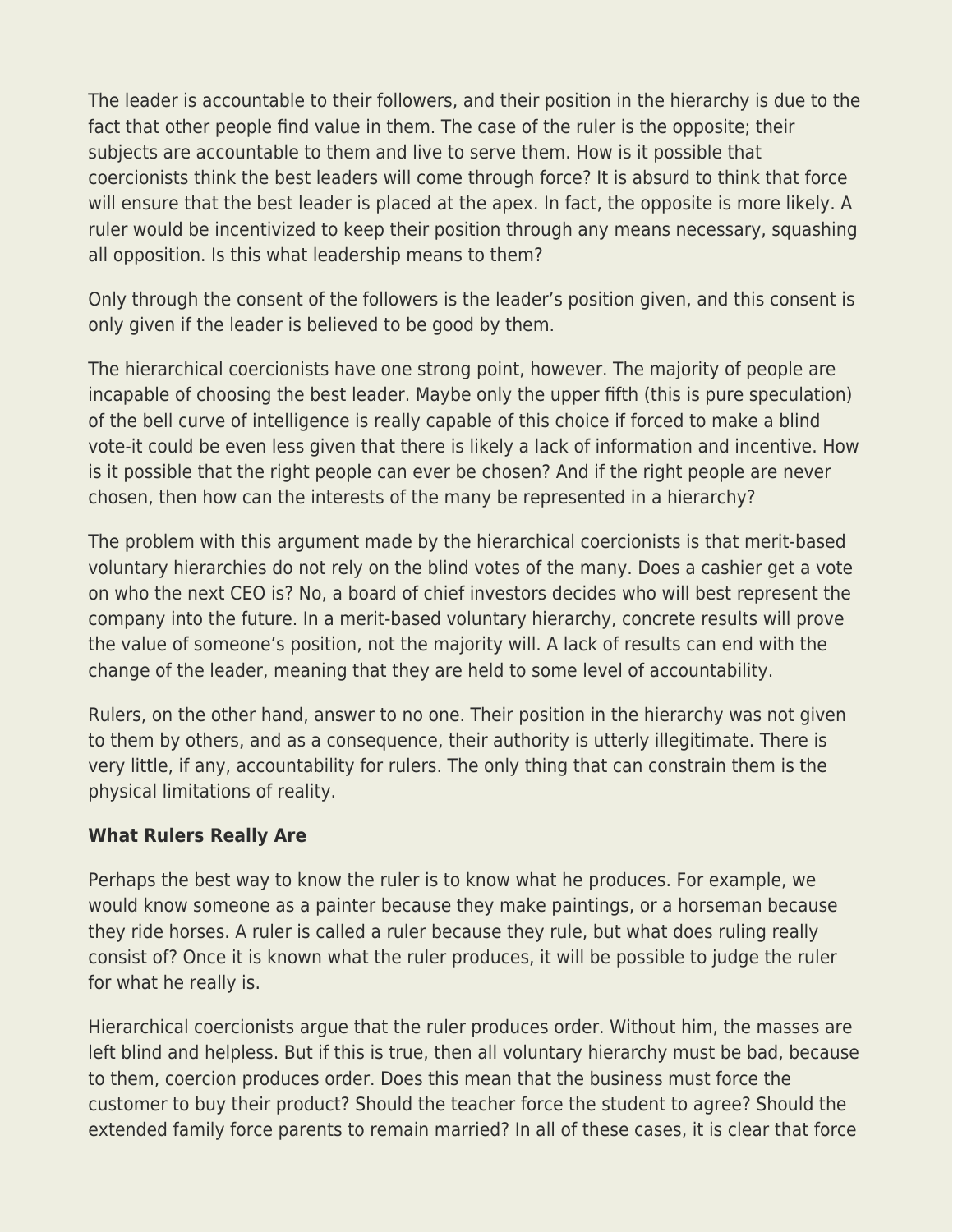The leader is accountable to their followers, and their position in the hierarchy is due to the fact that other people find value in them. The case of the ruler is the opposite; their subjects are accountable to them and live to serve them. How is it possible that coercionists think the best leaders will come through force? It is absurd to think that force will ensure that the best leader is placed at the apex. In fact, the opposite is more likely. A ruler would be incentivized to keep their position through any means necessary, squashing all opposition. Is this what leadership means to them?

Only through the consent of the followers is the leader's position given, and this consent is only given if the leader is believed to be good by them.

The hierarchical coercionists have one strong point, however. The majority of people are incapable of choosing the best leader. Maybe only the upper fifth (this is pure speculation) of the bell curve of intelligence is really capable of this choice if forced to make a blind vote-it could be even less given that there is likely a lack of information and incentive. How is it possible that the right people can ever be chosen? And if the right people are never chosen, then how can the interests of the many be represented in a hierarchy?

The problem with this argument made by the hierarchical coercionists is that merit-based voluntary hierarchies do not rely on the blind votes of the many. Does a cashier get a vote on who the next CEO is? No, a board of chief investors decides who will best represent the company into the future. In a merit-based voluntary hierarchy, concrete results will prove the value of someone's position, not the majority will. A lack of results can end with the change of the leader, meaning that they are held to some level of accountability.

Rulers, on the other hand, answer to no one. Their position in the hierarchy was not given to them by others, and as a consequence, their authority is utterly illegitimate. There is very little, if any, accountability for rulers. The only thing that can constrain them is the physical limitations of reality.

### **What Rulers Really Are**

Perhaps the best way to know the ruler is to know what he produces. For example, we would know someone as a painter because they make paintings, or a horseman because they ride horses. A ruler is called a ruler because they rule, but what does ruling really consist of? Once it is known what the ruler produces, it will be possible to judge the ruler for what he really is.

Hierarchical coercionists argue that the ruler produces order. Without him, the masses are left blind and helpless. But if this is true, then all voluntary hierarchy must be bad, because to them, coercion produces order. Does this mean that the business must force the customer to buy their product? Should the teacher force the student to agree? Should the extended family force parents to remain married? In all of these cases, it is clear that force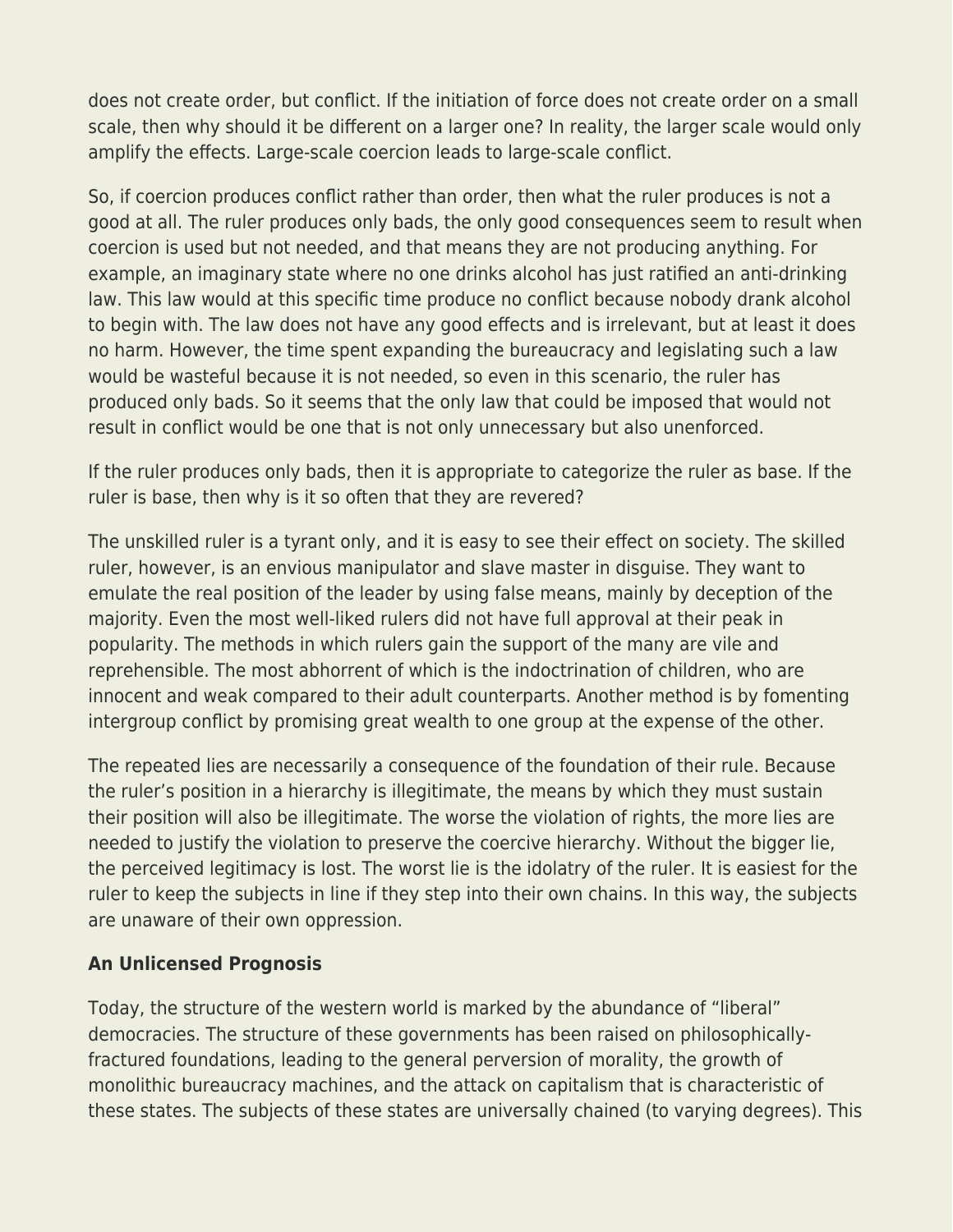does not create order, but conflict. If the initiation of force does not create order on a small scale, then why should it be different on a larger one? In reality, the larger scale would only amplify the effects. Large-scale coercion leads to large-scale conflict.

So, if coercion produces conflict rather than order, then what the ruler produces is not a good at all. The ruler produces only bads, the only good consequences seem to result when coercion is used but not needed, and that means they are not producing anything. For example, an imaginary state where no one drinks alcohol has just ratified an anti-drinking law. This law would at this specific time produce no conflict because nobody drank alcohol to begin with. The law does not have any good effects and is irrelevant, but at least it does no harm. However, the time spent expanding the bureaucracy and legislating such a law would be wasteful because it is not needed, so even in this scenario, the ruler has produced only bads. So it seems that the only law that could be imposed that would not result in conflict would be one that is not only unnecessary but also unenforced.

If the ruler produces only bads, then it is appropriate to categorize the ruler as base. If the ruler is base, then why is it so often that they are revered?

The unskilled ruler is a tyrant only, and it is easy to see their effect on society. The skilled ruler, however, is an envious manipulator and slave master in disguise. They want to emulate the real position of the leader by using false means, mainly by deception of the majority. Even the most well-liked rulers did not have full approval at their peak in popularity. The methods in which rulers gain the support of the many are vile and reprehensible. The most abhorrent of which is the indoctrination of children, who are innocent and weak compared to their adult counterparts. Another method is by fomenting intergroup conflict by promising great wealth to one group at the expense of the other.

The repeated lies are necessarily a consequence of the foundation of their rule. Because the ruler's position in a hierarchy is illegitimate, the means by which they must sustain their position will also be illegitimate. The worse the violation of rights, the more lies are needed to justify the violation to preserve the coercive hierarchy. Without the bigger lie, the perceived legitimacy is lost. The worst lie is the idolatry of the ruler. It is easiest for the ruler to keep the subjects in line if they step into their own chains. In this way, the subjects are unaware of their own oppression.

### **An Unlicensed Prognosis**

Today, the structure of the western world is marked by the abundance of "liberal" democracies. The structure of these governments has been raised on philosophicallyfractured foundations, leading to the general perversion of morality, the growth of monolithic bureaucracy machines, and the attack on capitalism that is characteristic of these states. The subjects of these states are universally chained (to varying degrees). This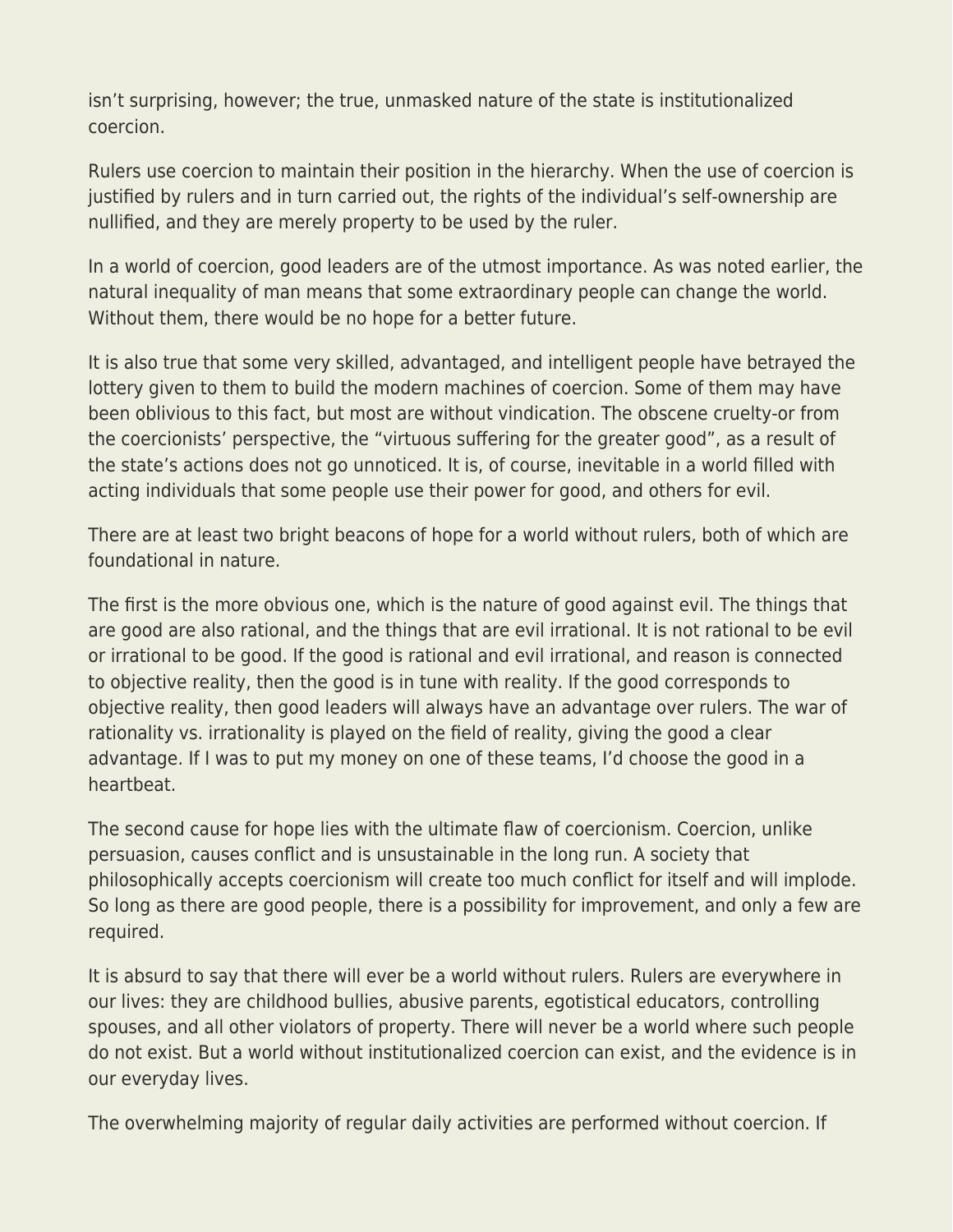isn't surprising, however; the true, unmasked nature of the state is institutionalized coercion.

Rulers use coercion to maintain their position in the hierarchy. When the use of coercion is justified by rulers and in turn carried out, the rights of the individual's self-ownership are nullified, and they are merely property to be used by the ruler.

In a world of coercion, good leaders are of the utmost importance. As was noted earlier, the natural inequality of man means that some extraordinary people can change the world. Without them, there would be no hope for a better future.

It is also true that some very skilled, advantaged, and intelligent people have betrayed the lottery given to them to build the modern machines of coercion. Some of them may have been oblivious to this fact, but most are without vindication. The obscene cruelty-or from the coercionists' perspective, the "virtuous suffering for the greater good", as a result of the state's actions does not go unnoticed. It is, of course, inevitable in a world filled with acting individuals that some people use their power for good, and others for evil.

There are at least two bright beacons of hope for a world without rulers, both of which are foundational in nature.

The first is the more obvious one, which is the nature of good against evil. The things that are good are also rational, and the things that are evil irrational. It is not rational to be evil or irrational to be good. If the good is rational and evil irrational, and reason is connected to objective reality, then the good is in tune with reality. If the good corresponds to objective reality, then good leaders will always have an advantage over rulers. The war of rationality vs. irrationality is played on the field of reality, giving the good a clear advantage. If I was to put my money on one of these teams, I'd choose the good in a heartbeat.

The second cause for hope lies with the ultimate flaw of coercionism. Coercion, unlike persuasion, causes conflict and is unsustainable in the long run. A society that philosophically accepts coercionism will create too much conflict for itself and will implode. So long as there are good people, there is a possibility for improvement, and only a few are required.

It is absurd to say that there will ever be a world without rulers. Rulers are everywhere in our lives: they are childhood bullies, abusive parents, egotistical educators, controlling spouses, and all other violators of property. There will never be a world where such people do not exist. But a world without institutionalized coercion can exist, and the evidence is in our everyday lives.

The overwhelming majority of regular daily activities are performed without coercion. If